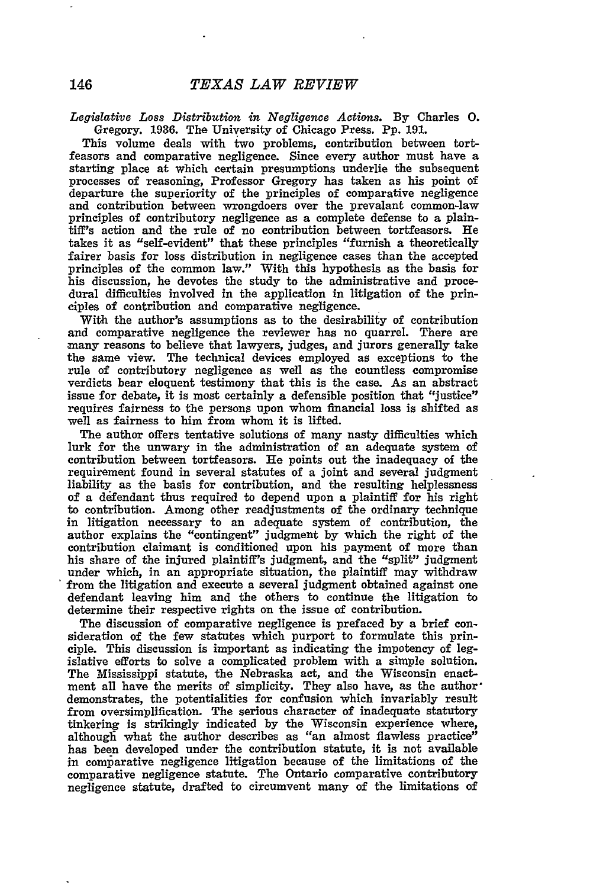*Legislative Loss Distribution in Negligence Actions.* **By** Charles **0.** Gregory. 1936. The University of Chicago Press. Pp. 191.

This volume deals with two problems, contribution between tortfeasors and comparative negligence. Since every author must have a starting place at which certain presumptions underlie the subsequent processes of reasoning, Professor Gregory has taken as his point of departure the superiority of the principles of comparative negligence and contribution between wrongdoers over the prevalant common-law principles of contributory negligence as a complete defense to a plaintiff's action and the rule of no contribution between tortfeasors. He takes it as "self-evident" that these principles "furnish a theoretically fairer basis for loss distribution in negligence cases than the accepted principles of the common law." With this hypothesis as the basis for his discussion, he devotes the study to the administrative and procedural difficulties involved in the application in litigation of the principles of contribution and comparative negligence.

With the author's assumptions as to the desirability of contribution and comparative negligence the reviewer has no quarrel. There are many reasons to believe that lawyers, judges, and jurors generally take the same view. The technical devices employed as exceptions to the rule of contributory negligence as well as the countless compromise verdicts bear eloquent testimony that this is the case. As an abstract issue for debate, it is most certainly a defensible position that "justice" requires fairness to the persons upon whom financial loss is shifted as well as fairness to him from whom it is lifted.

The author offers tentative solutions of many nasty difficulties which lurk for the unwary in the administration of an adequate system of contribution between tortfeasors. He points out the inadequacy of the requirement found in several statutes of a joint and several judgment liability as the basis for contribution, and the resulting helplessness of a defendant thus required to depend upon a plaintiff for his right to contribution. Among other readjustments of the ordinary technique in litigation necessary to an adequate system of contribution, the author explains the "contingent" judgment by which the right of the contribution claimant is conditioned upon his payment of more than his share of the injured plaintiff's judgment, and the "split" judgment under which, in an appropriate situation, the plaintiff may withdraw from the litigation and execute a several judgment obtained against one defendant leaving him and the others to continue the litigation to determine their respective rights on the issue of contribution.

The discussion of comparative negligence is prefaced by a brief consideration of the few statutes which purport to formulate this principle. This discussion is important as indicating the impotency of legislative efforts to solve a complicated problem with a simple solution. The Mississippi statute, the Nebraska act, and the Wisconsin enactment all have the merits of simplicity. They also have, as the author' demonstrates, the potentialities for confusion which invariably result from oversimplification. The serious character of inadequate statutory tinkering is strikingly indicated by the Wisconsin experience where, although what the author describes as "an almost flawless practice" has been developed under the contribution statute, it is not available in comparative negligence litigation because of the limitations of the comparative negligence statute. The Ontario comparative contributory negligence statute, drafted to circumvent many of the limitations of